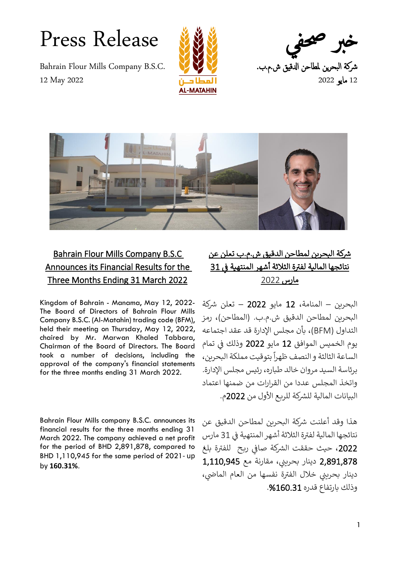Press Release



شركة البحرين لمطاحن الدقيق ش.م.ب. 12 مايو 2022



## Bahrain Flour Mills Company B.S.C Announces its Financial Results for the Three Months Ending 31 March 2022

Kingdom of Bahrain - Manama, May 12, 2022- The Board of Directors of Bahrain Flour Mills Company B.S.C. (Al-Matahin) trading code (BFM), held their meeting on Thursday, May 12, 2022, chaired by Mr. Marwan Khaled Tabbara, Chairman of the Board of Directors. The Board took a number of decisions, including the approval of the company's financial statements for the three months ending 31 March 2022.

Bahrain Flour Mills company B.S.C. announces its financial results for the three months ending 31 March 2022. The company achieved a net profit for the period of BHD 2,891,878, compared to BHD 1,110,945 for the same period of 2021- up by **160.31%**.

## شركة البحرين لمطاحن الدقيق ش.م.ب تعلن عن رنتائجها المالية لفترة الثلاثة آشهر المنتهية <u>في 31</u> ì ֦֧֢֦֧֦֧֦֧֦֧֦֧֢֢֧֦֧֦֧ׅ֧֦֧֧֦֧֧֦֧֚֚֚֚֬֜֜֓֓֜֓֜ مارس 2022

البحرين – المنامة، 12 مايو 2022 – تعلن شركة البحرين لمطاحن الدقيق ش.م.ب. (المطاحن)، رمز التداول )BFM)، بأن مجلس اإلدارة قد عقد اجتماعه يوم الخميس الموافق 12 مايو 2022 وذلك ف تمام  $\frac{5}{2}$ : الساعة الثالثة و النصف ظهرا بتوقيت مملكة البحرين، برئاسة السيد مروان خالد طباره، رئيس مجلس اإلدارة. واتخذ المجلس عددا من القرارات من ضمنها اعتماد البيانات المالية للشركة للربع الأول من 2022م.

هذا وقد أعلنت شركة البحرين لمطاحن الدقيق عن رنتائجها المالية لفترة الثلاثة أشهر المنتهية في 31 مارس  $\frac{1}{2}$ : 2022، حيث حققت الشركة صافي ربح للفترة بلغ  $\frac{2}{\pi}$ ֧֦֧֦֧֦֧֦֧֦֧֦֧֦֧֦֧֧֦֧ׅ֦֧ׅ֦֧ׅ֦֧֚֬֜֜֓֜֓֡֡֬֜֓֡֬֜֓֡֬ ر 1,110,945 دينار بحريني، مقارنة مع 1,110,945 دينار بحريني خلال الفترة نفسها من العام الماضي، ر وذلك بارتفاع قدره %160.31 .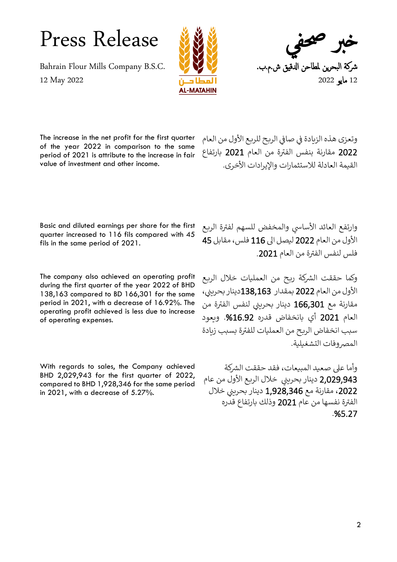Press Release



شركة البحرين لمطاحن الدقيق ش.م.ب. 12 مايو 2022

The increase in the net profit for the first quarter of the year 2022 in comparison to the same period of 2021 is attribute to the increase in fair value of investment and other income.

وتعزى هذه الزيادة في صافي الربح للربع الأول من العام :<br>:  $\frac{1}{2}$ ֧֧֦֧֢֧֦֧֚֝<u>֚</u> ر2022 مقارنة بنفس الفترة من العام 2021 بارتفاع القيمة العادلة للاستثمارات والإيرادات الأخرى.

Basic and diluted earnings per share for the first quarter increased to 116 fils compared with 45 fils in the same period of 2021.

The company also achieved an operating profit during the first quarter of the year 2022 of BHD 138,163 compared to BD 166,301 for the same period in 2021, with a decrease of 16.92%. The operating profit achieved is less due to increase of operating expenses.

With regards to sales, the Company achieved BHD 2,029,943 for the first quarter of 2022, compared to BHD 1,928,346 for the same period in 2021, with a decrease of 5.27%.

وارتفع العائد الأساسي والمخفض للسهم لفترة الربع ر األول من العام 2022 ليصل اىل 116 فلس، مقابل 45 رفلس لنفس الفترة من العام 2021.

وكما حققت الشركة ربح من العمليات خلال الربع الأول من العام 2022 بمقدار 138,163دينار بحريني، مقارنة مع 166,301 دينار بحريني لنفس الفترة من ر العام 2021 أي بانخفاض قدره %16.92 . ويعود سبب انخفاض الربح من العمليات للفترة بسبب زيادة ر المصر وفات التشغيلية.

وأما على صعيد المبيعات، فقد حققت الشركة 2,029,943 دينار بحريني خلال الربع الأول من عام<br>معموم 2022، مقارنة مع 1,928,346 دينار بحريني خلال الفترة نفسها من عام 2021 وذلك بارتفاع قدره ر . %5.27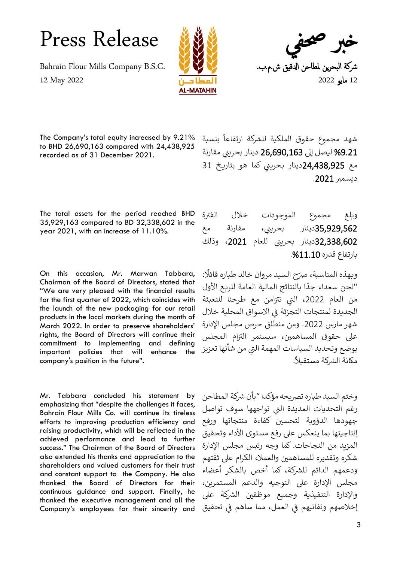Press Release



شركة البحرين لمطاحن الدقيق ش.م.ب. 12 مايو 2022

The Company's total equity increased by 9.21% to BHD 26,690,163 compared with 24,438,925 recorded as of 31 December 2021.

شهد مجموع حقوق الملكية للشركة .<br>Í ارتفاعا بنسبة ليصل إلى 26,690,163 دينار بحريني مقارنة  $\,$ مع **24,438,925**دينار بحريني كما هو بتاريخ 31 دي*س*مبر 2021.

The total assets for the period reached BHD 35,929,163 compared to BD 32,338,602 in the year 2021, with an increase of 11.10%.

On this occasion, Mr. Marwan Tabbara, Chairman of the Board of Directors, stated that "We are very pleased with the financial results for the first quarter of 2022, which coincides with the launch of the new packaging for our retail products in the local markets during the month of March 2022. In order to preserve shareholders' rights, the Board of Directors will continue their commitment to implementing and defining important policies that will enhance the company's position in the future".

Mr. Tabbara concluded his statement by emphasizing that "despite the challenges it faces, Bahrain Flour Mills Co. will continue its tireless efforts to improving production efficiency and raising productivity, which will be reflected in the achieved performance and lead to further success." The Chairman of the Board of Directors also extended his thanks and appreciation to the shareholders and valued customers for their trust and constant support to the Company. He also thanked the Board of Directors for their continuous guidance and support. Finally, he thanked the executive management and all the Company's employees for their sincerity and وبلغ مجموع الموجودات خلال الفترة 35,929,562دينار بحريني، مقارنة مع 32,338,602دينار بحريني للعام <mark>،2021</mark> وذلك بارتفاع قدره %11.10 .

: .<br>وبهذه المناسبة، صرّح السيد مروان خالد طباره قائلًا و..<br>"نحن سعداء جدًا بالنتائج المالية العامة للربع الأول من العام 2022، التي تتزامن مع طرحنا للتعبئة الجديدة لمنتجات التجزئة في الاسواق المحلية خلال  $\frac{1}{2}$ شهر مارس .2022 ومن منطلق حرص مجلس اإلدارة على حقوق المساهمين، سيستمر التزام المجلس  $\ddot{\cdot}$ بوضع وتحديد السياسات المهمة التي من شأنها تعزيز .ر<br>مكانة الشركة مستقبلاً.

وختم السيد طباره تصريحه مؤكدا "بأن شركة المطاحن رغم التحديات العديدة التي تواجهها سوف تواصل جهودها الدؤوبة لتحسين كفاءة منتجاتها ورفع إنتاجيتها بما ينعكس على رفع مستوى الأداء وتحقيق المزيد من النجاحات. كما وجه رئيس مجلس اإلدارة شكره وتقديره للمساهمين والعملاء الكرام على ثقتهم ودعمهم الدائم للشركة، كما أخص بالشكر أعضاء مجلس اإلدارة عىل التوجيه والدعم المستمرين، والإدارة التنفيذية وجميع موظفين الشركة على . - .<br>إخلاصهم وتفانيهم في العمل، مما ساهم في تحقيق  $\frac{2}{\pi}$  $\ddot{\phantom{0}}$